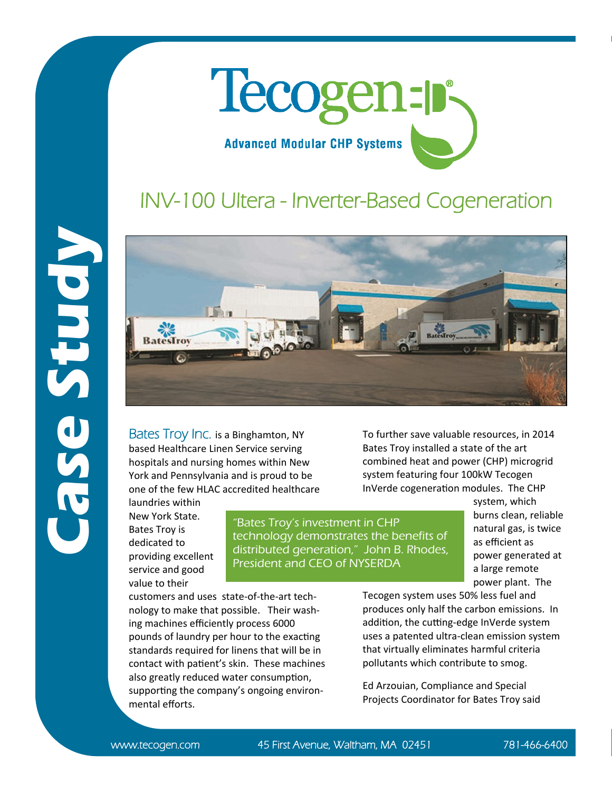

## INV-100 Ultera - Inverter-Based Cogeneration



Bates Troy Inc. is a Binghamton, NY based Healthcare Linen Service serving hospitals and nursing homes within New York and Pennsylvania and is proud to be one of the few HLAC accredited healthcare

laundries within New York State. Bates Troy is dedicated to providing excellent service and good value to their

"Bates Troy's investment in CHP technology demonstrates the benefits of distributed generation," John B. Rhodes, President and CEO of NYSERDA

To further save valuable resources, in 2014 Bates Troy installed a state of the art combined heat and power (CHP) microgrid system featuring four 100kW Tecogen InVerde cogeneration modules. The CHP

system, which burns clean, reliable natural gas, is twice as efficient as power generated at a large remote power plant. The

customers and uses state-of-the-art technology to make that possible. Their washing machines efficiently process 6000 pounds of laundry per hour to the exacting standards required for linens that will be in contact with patient's skin. These machines also greatly reduced water consumption, supporting the company's ongoing environmental efforts.

Tecogen system uses 50% less fuel and produces only half the carbon emissions. In addition, the cutting-edge InVerde system uses a patented ultra-clean emission system that virtually eliminates harmful criteria pollutants which contribute to smog.

Ed Arzouian, Compliance and Special Projects Coordinator for Bates Troy said